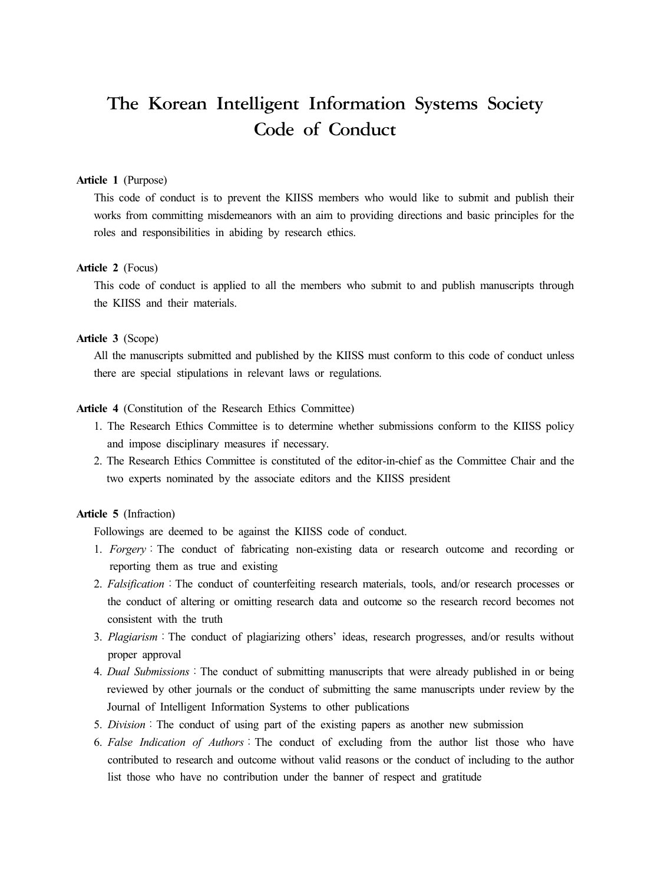# The Korean Intelligent Information Systems Society Code of Conduct

#### **Article 1** (Purpose)

This code of conduct is to prevent the KIISS members who would like to submit and publish their works from committing misdemeanors with an aim to providing directions and basic principles for the roles and responsibilities in abiding by research ethics.

#### **Article 2** (Focus)

This code of conduct is applied to all the members who submit to and publish manuscripts through the KIISS and their materials.

#### **Article 3** (Scope)

All the manuscripts submitted and published by the KIISS must conform to this code of conduct unless there are special stipulations in relevant laws or regulations.

#### **Article 4** (Constitution of the Research Ethics Committee)

- 1. The Research Ethics Committee is to determine whether submissions conform to the KIISS policy and impose disciplinary measures if necessary.
- 2. The Research Ethics Committee is constituted of the editor-in-chief as the Committee Chair and the two experts nominated by the associate editors and the KIISS president

#### **Article 5** (Infraction)

Followings are deemed to be against the KIISS code of conduct.

- 1. *Forgery*:The conduct of fabricating non-existing data or research outcome and recording or reporting them as true and existing
- 2. *Falsification*: The conduct of counterfeiting research materials, tools, and/or research processes or the conduct of altering or omitting research data and outcome so the research record becomes not consistent with the truth
- 3. *Plagiarism*:The conduct of plagiarizing others' ideas, research progresses, and/or results without proper approval
- 4. *Dual Submissions*:The conduct of submitting manuscripts that were already published in or being reviewed by other journals or the conduct of submitting the same manuscripts under review by the Journal of Intelligent Information Systems to other publications
- 5. *Division*:The conduct of using part of the existing papers as another new submission
- 6. *False Indication of Authors*:The conduct of excluding from the author list those who have contributed to research and outcome without valid reasons or the conduct of including to the author list those who have no contribution under the banner of respect and gratitude